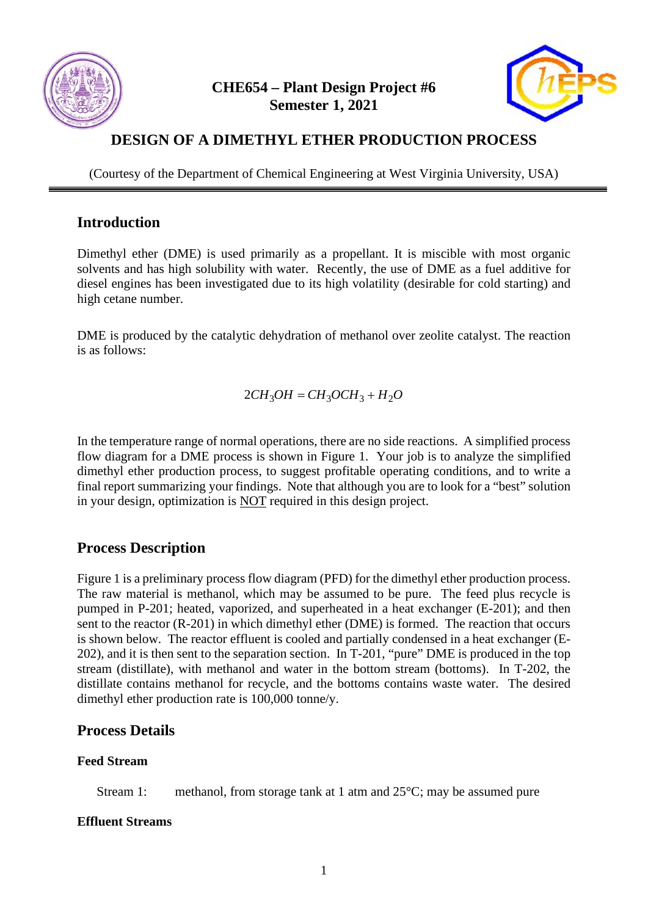

### **CHE654 – Plant Design Project #6 Semester 1, 2021**



# **DESIGN OF A DIMETHYL ETHER PRODUCTION PROCESS**

(Courtesy of the Department of Chemical Engineering at West Virginia University, USA)

#### **Introduction**

Dimethyl ether (DME) is used primarily as a propellant. It is miscible with most organic solvents and has high solubility with water. Recently, the use of DME as a fuel additive for diesel engines has been investigated due to its high volatility (desirable for cold starting) and high cetane number.

DME is produced by the catalytic dehydration of methanol over zeolite catalyst. The reaction is as follows:

$$
2CH_3OH = CH_3OCH_3 + H_2O
$$

In the temperature range of normal operations, there are no side reactions. A simplified process flow diagram for a DME process is shown in Figure 1. Your job is to analyze the simplified dimethyl ether production process, to suggest profitable operating conditions, and to write a final report summarizing your findings. Note that although you are to look for a "best" solution in your design, optimization is NOT required in this design project.

### **Process Description**

Figure 1 is a preliminary process flow diagram (PFD) for the dimethyl ether production process. The raw material is methanol, which may be assumed to be pure. The feed plus recycle is pumped in P-201; heated, vaporized, and superheated in a heat exchanger (E-201); and then sent to the reactor (R-201) in which dimethyl ether (DME) is formed. The reaction that occurs is shown below. The reactor effluent is cooled and partially condensed in a heat exchanger (E-202), and it is then sent to the separation section. In T-201, "pure" DME is produced in the top stream (distillate), with methanol and water in the bottom stream (bottoms). In T-202, the distillate contains methanol for recycle, and the bottoms contains waste water. The desired dimethyl ether production rate is 100,000 tonne/y.

### **Process Details**

#### **Feed Stream**

Stream 1: methanol, from storage tank at 1 atm and 25°C; may be assumed pure

#### **Effluent Streams**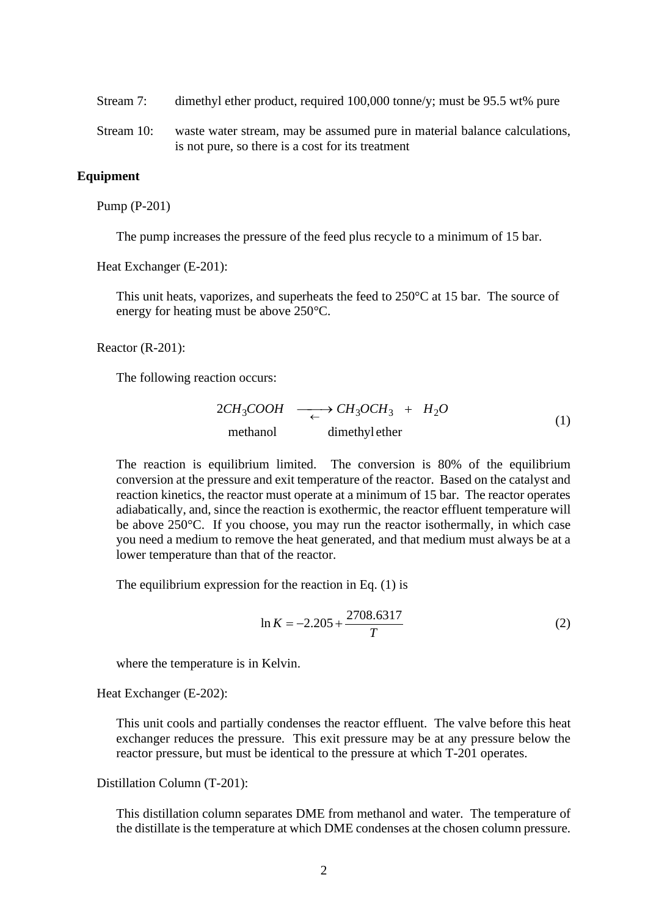- Stream 7: dimethyl ether product, required 100,000 tonne/y; must be 95.5 wt% pure
- Stream 10: waste water stream, may be assumed pure in material balance calculations, is not pure, so there is a cost for its treatment

#### **Equipment**

Pump (P-201)

The pump increases the pressure of the feed plus recycle to a minimum of 15 bar.

Heat Exchanger (E-201):

This unit heats, vaporizes, and superheats the feed to 250°C at 15 bar. The source of energy for heating must be above 250°C.

Reactor (R-201):

The following reaction occurs:

$$
2CH_3COOH \longrightarrow CH_3OCH_3 + H_2O
$$
  
method  
imethylether (1)

The reaction is equilibrium limited. The conversion is 80% of the equilibrium conversion at the pressure and exit temperature of the reactor. Based on the catalyst and reaction kinetics, the reactor must operate at a minimum of 15 bar. The reactor operates adiabatically, and, since the reaction is exothermic, the reactor effluent temperature will be above 250°C. If you choose, you may run the reactor isothermally, in which case you need a medium to remove the heat generated, and that medium must always be at a lower temperature than that of the reactor.

The equilibrium expression for the reaction in Eq. (1) is

$$
\ln K = -2.205 + \frac{2708.6317}{T}
$$
 (2)

where the temperature is in Kelvin.

Heat Exchanger (E-202):

This unit cools and partially condenses the reactor effluent. The valve before this heat exchanger reduces the pressure. This exit pressure may be at any pressure below the reactor pressure, but must be identical to the pressure at which T-201 operates.

Distillation Column (T-201):

This distillation column separates DME from methanol and water. The temperature of the distillate is the temperature at which DME condenses at the chosen column pressure.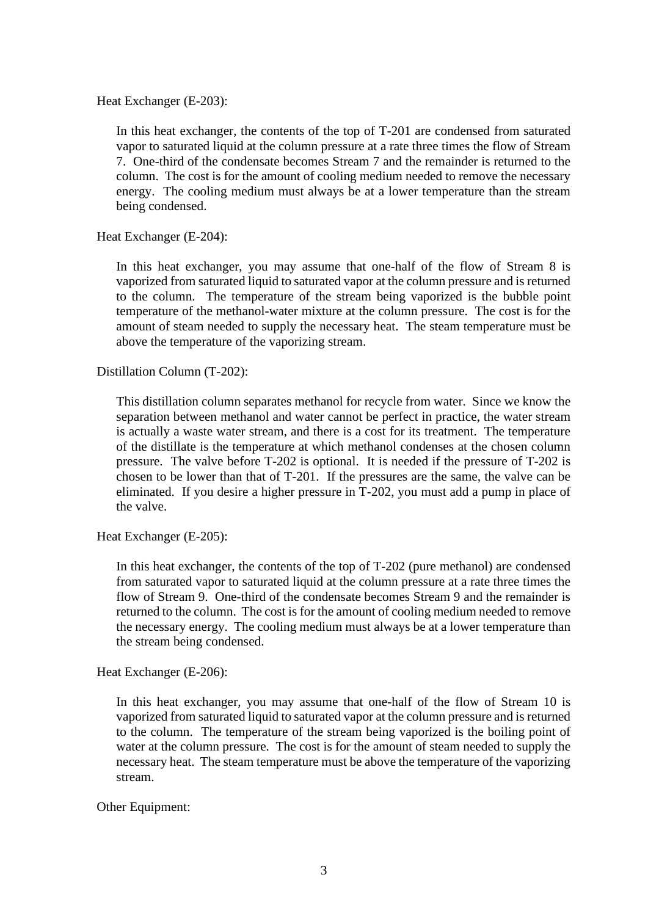Heat Exchanger (E-203):

In this heat exchanger, the contents of the top of T-201 are condensed from saturated vapor to saturated liquid at the column pressure at a rate three times the flow of Stream 7. One-third of the condensate becomes Stream 7 and the remainder is returned to the column. The cost is for the amount of cooling medium needed to remove the necessary energy. The cooling medium must always be at a lower temperature than the stream being condensed.

Heat Exchanger (E-204):

In this heat exchanger, you may assume that one-half of the flow of Stream 8 is vaporized from saturated liquid to saturated vapor at the column pressure and is returned to the column. The temperature of the stream being vaporized is the bubble point temperature of the methanol-water mixture at the column pressure. The cost is for the amount of steam needed to supply the necessary heat. The steam temperature must be above the temperature of the vaporizing stream.

Distillation Column (T-202):

This distillation column separates methanol for recycle from water. Since we know the separation between methanol and water cannot be perfect in practice, the water stream is actually a waste water stream, and there is a cost for its treatment. The temperature of the distillate is the temperature at which methanol condenses at the chosen column pressure. The valve before T-202 is optional. It is needed if the pressure of T-202 is chosen to be lower than that of T-201. If the pressures are the same, the valve can be eliminated. If you desire a higher pressure in T-202, you must add a pump in place of the valve.

Heat Exchanger (E-205):

In this heat exchanger, the contents of the top of T-202 (pure methanol) are condensed from saturated vapor to saturated liquid at the column pressure at a rate three times the flow of Stream 9. One-third of the condensate becomes Stream 9 and the remainder is returned to the column. The cost is for the amount of cooling medium needed to remove the necessary energy. The cooling medium must always be at a lower temperature than the stream being condensed.

Heat Exchanger (E-206):

In this heat exchanger, you may assume that one-half of the flow of Stream 10 is vaporized from saturated liquid to saturated vapor at the column pressure and is returned to the column. The temperature of the stream being vaporized is the boiling point of water at the column pressure. The cost is for the amount of steam needed to supply the necessary heat. The steam temperature must be above the temperature of the vaporizing stream.

Other Equipment: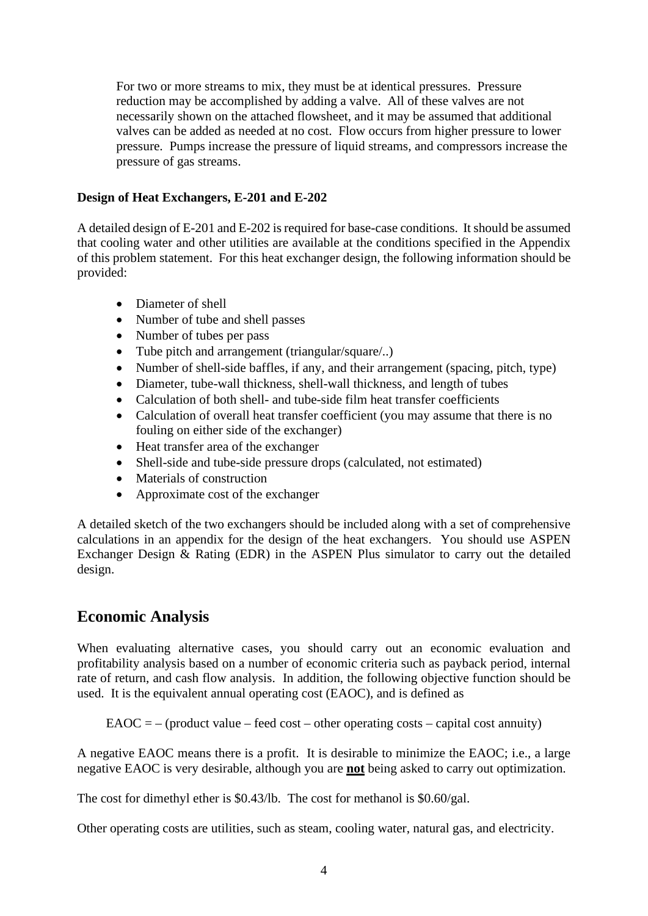For two or more streams to mix, they must be at identical pressures. Pressure reduction may be accomplished by adding a valve. All of these valves are not necessarily shown on the attached flowsheet, and it may be assumed that additional valves can be added as needed at no cost. Flow occurs from higher pressure to lower pressure. Pumps increase the pressure of liquid streams, and compressors increase the pressure of gas streams.

#### **Design of Heat Exchangers, E-201 and E-202**

A detailed design of E-201 and E-202 is required for base-case conditions. It should be assumed that cooling water and other utilities are available at the conditions specified in the Appendix of this problem statement. For this heat exchanger design, the following information should be provided:

- Diameter of shell
- Number of tube and shell passes
- Number of tubes per pass
- Tube pitch and arrangement (triangular/square/..)
- Number of shell-side baffles, if any, and their arrangement (spacing, pitch, type)
- Diameter, tube-wall thickness, shell-wall thickness, and length of tubes
- Calculation of both shell- and tube-side film heat transfer coefficients
- Calculation of overall heat transfer coefficient (you may assume that there is no fouling on either side of the exchanger)
- Heat transfer area of the exchanger
- Shell-side and tube-side pressure drops (calculated, not estimated)
- Materials of construction
- Approximate cost of the exchanger

A detailed sketch of the two exchangers should be included along with a set of comprehensive calculations in an appendix for the design of the heat exchangers. You should use ASPEN Exchanger Design & Rating (EDR) in the ASPEN Plus simulator to carry out the detailed design.

# **Economic Analysis**

When evaluating alternative cases, you should carry out an economic evaluation and profitability analysis based on a number of economic criteria such as payback period, internal rate of return, and cash flow analysis. In addition, the following objective function should be used. It is the equivalent annual operating cost (EAOC), and is defined as

 $E A O C = -$  (product value – feed cost – other operating costs – capital cost annuity)

A negative EAOC means there is a profit. It is desirable to minimize the EAOC; i.e., a large negative EAOC is very desirable, although you are **not** being asked to carry out optimization.

The cost for dimethyl ether is \$0.43/lb. The cost for methanol is \$0.60/gal.

Other operating costs are utilities, such as steam, cooling water, natural gas, and electricity.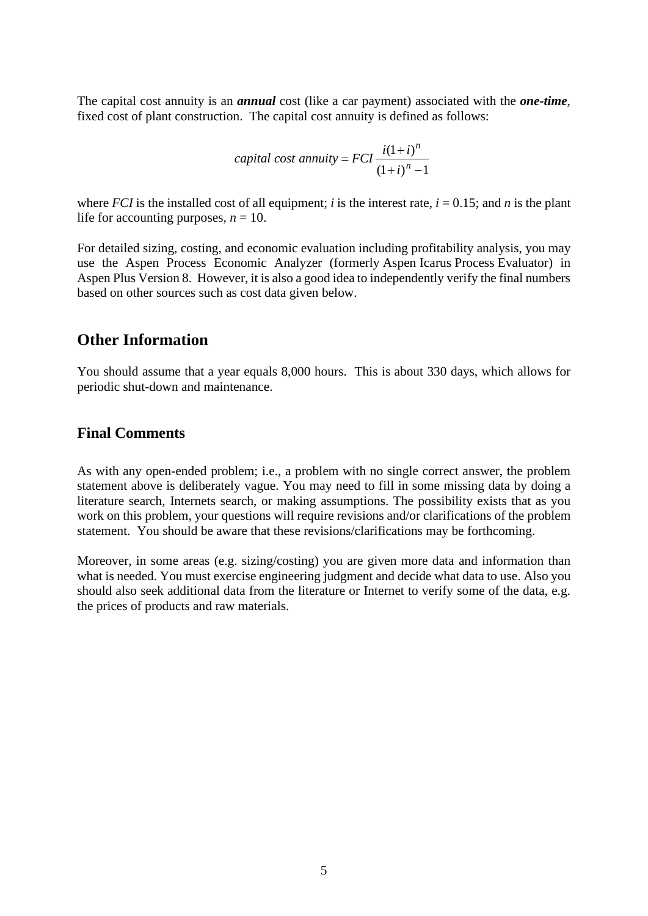The capital cost annuity is an *annual* cost (like a car payment) associated with the *one-time*, fixed cost of plant construction. The capital cost annuity is defined as follows:

*capital cost annuity* = 
$$
FCI \frac{i(1+i)^n}{(1+i)^n - 1}
$$

where *FCI* is the installed cost of all equipment; *i* is the interest rate,  $i = 0.15$ ; and *n* is the plant life for accounting purposes,  $n = 10$ .

For detailed sizing, costing, and economic evaluation including profitability analysis, you may use the Aspen Process Economic Analyzer (formerly Aspen Icarus Process Evaluator) in Aspen Plus Version 8. However, it is also a good idea to independently verify the final numbers based on other sources such as cost data given below.

#### **Other Information**

You should assume that a year equals 8,000 hours. This is about 330 days, which allows for periodic shut-down and maintenance.

#### **Final Comments**

As with any open-ended problem; i.e., a problem with no single correct answer, the problem statement above is deliberately vague. You may need to fill in some missing data by doing a literature search, Internets search, or making assumptions. The possibility exists that as you work on this problem, your questions will require revisions and/or clarifications of the problem statement. You should be aware that these revisions/clarifications may be forthcoming.

Moreover, in some areas (e.g. sizing/costing) you are given more data and information than what is needed. You must exercise engineering judgment and decide what data to use. Also you should also seek additional data from the literature or Internet to verify some of the data, e.g. the prices of products and raw materials.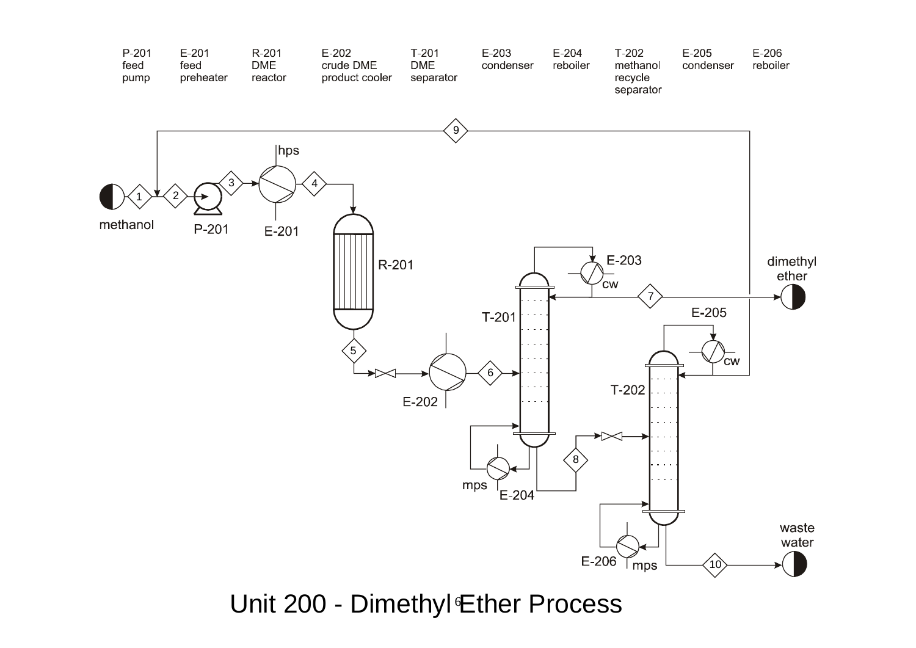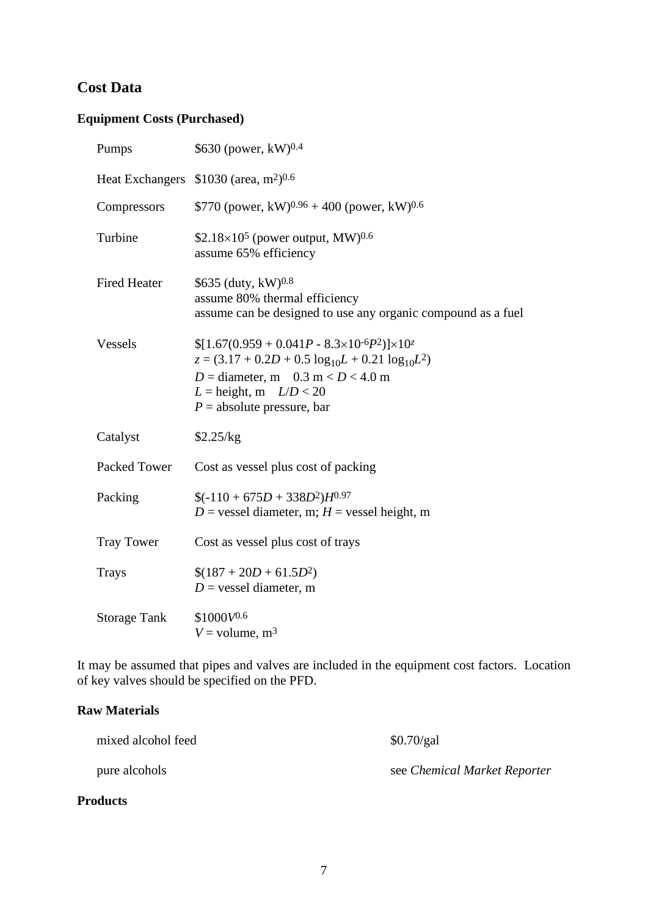### **Cost Data**

# **Equipment Costs (Purchased)**

| Pumps               | \$630 (power, $kW$ ) <sup>0.4</sup>                                                                                                                                                                                                |
|---------------------|------------------------------------------------------------------------------------------------------------------------------------------------------------------------------------------------------------------------------------|
|                     | Heat Exchangers $$1030$ (area, m <sup>2</sup> ) <sup>0.6</sup>                                                                                                                                                                     |
| Compressors         | \$770 (power, kW) <sup>0.96</sup> + 400 (power, kW) <sup>0.6</sup>                                                                                                                                                                 |
| Turbine             | \$2.18 $\times$ 10 <sup>5</sup> (power output, MW) <sup>0.6</sup><br>assume 65% efficiency                                                                                                                                         |
| <b>Fired Heater</b> | \$635 (duty, kW)0.8<br>assume 80% thermal efficiency<br>assume can be designed to use any organic compound as a fuel                                                                                                               |
| Vessels             | $[1.67(0.959 + 0.041P - 8.3 \times 10^{-6}P^2)] \times 10^{-7}$<br>$z = (3.17 + 0.2D + 0.5 \log_{10}L + 0.21 \log_{10}L^2)$<br>$D =$ diameter, m 0.3 m < $D$ < 4.0 m<br>$L =$ height, m $L/D < 20$<br>$P =$ absolute pressure, bar |
| Catalyst            | \$2.25/kg                                                                                                                                                                                                                          |
| Packed Tower        | Cost as vessel plus cost of packing                                                                                                                                                                                                |
| Packing             | $$(-110 + 675D + 338D^2)H^{0.97}$<br>$D$ = vessel diameter, m; $H$ = vessel height, m                                                                                                                                              |
| <b>Tray Tower</b>   | Cost as vessel plus cost of trays                                                                                                                                                                                                  |
| <b>Trays</b>        | $$(187 + 20D + 61.5D^2)$<br>$D =$ vessel diameter, m                                                                                                                                                                               |
| <b>Storage Tank</b> | $$1000V^{0.6}$<br>$V =$ volume, m <sup>3</sup>                                                                                                                                                                                     |

It may be assumed that pipes and valves are included in the equipment cost factors. Location of key valves should be specified on the PFD.

#### **Raw Materials**

| <b>Products</b>    |                              |
|--------------------|------------------------------|
| pure alcohols      | see Chemical Market Reporter |
| mixed alcohol feed | \$0.70/gal                   |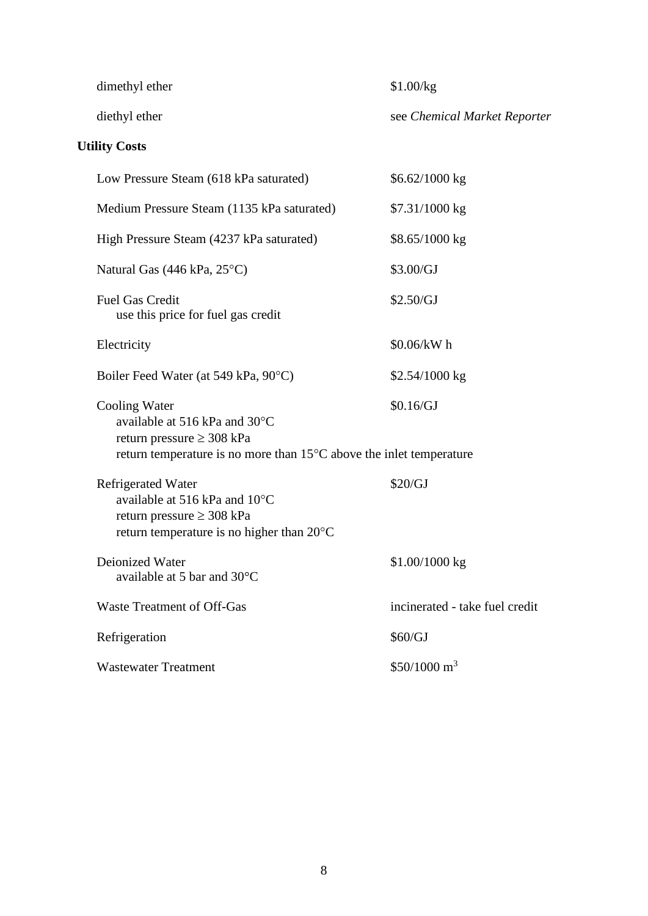dimethyl ether \$1.00/kg

diethyl ether see *Chemical Market Reporter*

# **Utility Costs**

| Low Pressure Steam (618 kPa saturated)                                                                                                                            | \$6.62/1000 kg                 |
|-------------------------------------------------------------------------------------------------------------------------------------------------------------------|--------------------------------|
| Medium Pressure Steam (1135 kPa saturated)                                                                                                                        | \$7.31/1000 kg                 |
| High Pressure Steam (4237 kPa saturated)                                                                                                                          | \$8.65/1000 kg                 |
| Natural Gas $(446 \text{ kPa}, 25^{\circ}\text{C})$                                                                                                               | \$3.00/GJ                      |
| <b>Fuel Gas Credit</b><br>use this price for fuel gas credit                                                                                                      | \$2.50/GJ                      |
| Electricity                                                                                                                                                       | \$0.06/kW h                    |
| Boiler Feed Water (at 549 kPa, 90°C)                                                                                                                              | $$2.54/1000$ kg                |
| Cooling Water<br>available at 516 kPa and 30°C<br>return pressure $\geq$ 308 kPa<br>return temperature is no more than $15^{\circ}$ C above the inlet temperature | \$0.16/GJ                      |
| <b>Refrigerated Water</b><br>available at 516 kPa and 10°C<br>return pressure $\geq$ 308 kPa<br>return temperature is no higher than 20°C                         | \$20/GJ                        |
| <b>Deionized Water</b><br>available at 5 bar and 30°C                                                                                                             | $$1.00/1000$ kg                |
| <b>Waste Treatment of Off-Gas</b>                                                                                                                                 | incinerated - take fuel credit |
| Refrigeration                                                                                                                                                     | \$60/GJ                        |
| <b>Wastewater Treatment</b>                                                                                                                                       | $$50/1000 \text{ m}^3$         |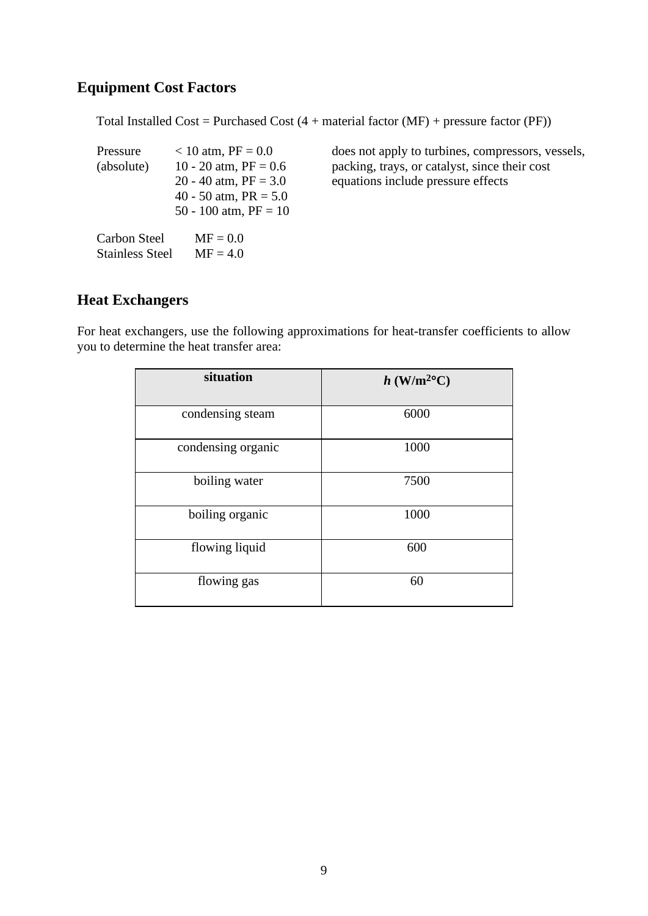### **Equipment Cost Factors**

Total Installed Cost = Purchased Cost  $(4 + material factor (MF) + pressure factor (PF))$ 

| Pressure     | $< 10$ atm, PF = 0.0    |
|--------------|-------------------------|
| (absolute)   | 10 - 20 atm, $PF = 0.6$ |
|              | 20 - 40 atm, $PF = 3.0$ |
|              | 40 - 50 atm, $PR = 5.0$ |
|              | 50 - 100 atm, $PF = 10$ |
| Carbon Steel | $MF = 0.0$              |

Stainless Steel  $MF = 4.0$ 

does not apply to turbines, compressors, vessels, packing, trays, or catalyst, since their cost equations include pressure effects

### **Heat Exchangers**

For heat exchangers, use the following approximations for heat-transfer coefficients to allow you to determine the heat transfer area:

| situation          | $h$ (W/m <sup>2o</sup> C) |
|--------------------|---------------------------|
| condensing steam   | 6000                      |
| condensing organic | 1000                      |
| boiling water      | 7500                      |
| boiling organic    | 1000                      |
| flowing liquid     | 600                       |
| flowing gas        | 60                        |